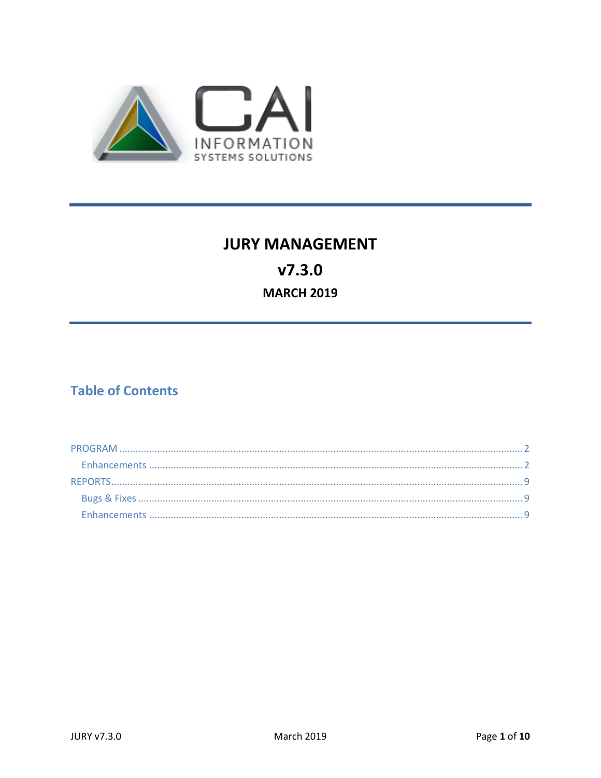

# **JURY MANAGEMENT**  $V7.3.0$ **MARCH 2019**

# **Table of Contents**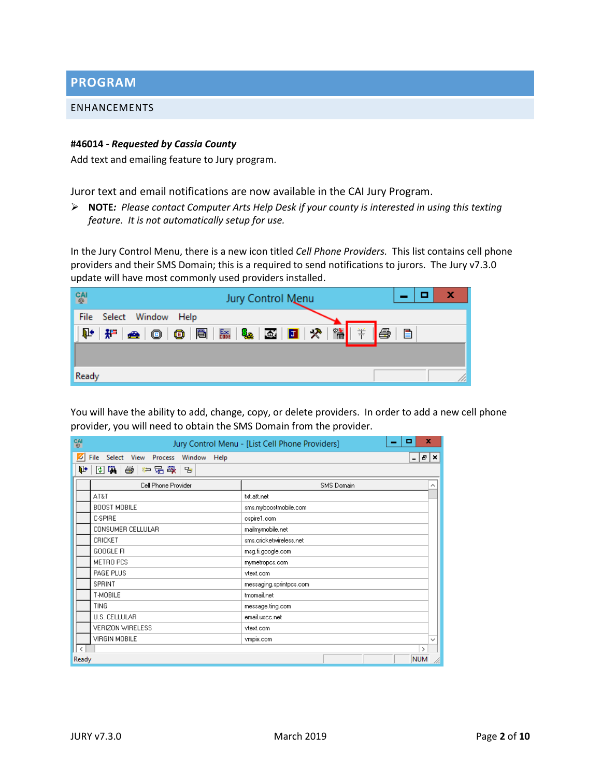<span id="page-1-0"></span>**PROGRAM**

#### <span id="page-1-1"></span>ENHANCEMENTS

#### **#46014 -** *Requested by Cassia County*

Add text and emailing feature to Jury program.

Juror text and email notifications are now available in the CAI Jury Program.

 **NOTE***: Please contact Computer Arts Help Desk if your county is interested in using this texting feature. It is not automatically setup for use.*

In the Jury Control Menu, there is a new icon titled *Cell Phone Providers.* This list contains cell phone providers and their SMS Domain; this is a required to send notifications to jurors. The Jury v7.3.0 update will have most commonly used providers installed.

| <b>CAI</b><br>Jury Control Menu                                                              | x                                  |
|----------------------------------------------------------------------------------------------|------------------------------------|
| File Select Window Help                                                                      |                                    |
| ₽<br>$\bigcirc$ $\bigcirc$ $\bigcirc$ $\bigcirc$ $\bigcirc$<br>Ba Sa Ba <mark>di</mark><br>押 | s.<br>衞<br>芾<br>$\mathcal{R}$<br>▤ |
|                                                                                              |                                    |
| Ready                                                                                        |                                    |

You will have the ability to add, change, copy, or delete providers. In order to add a new cell phone provider, you will need to obtain the SMS Domain from the provider.

| <b>CAI</b> | x<br>▫<br>Jury Control Menu - [List Cell Phone Providers] |                         |              |  |  |  |
|------------|-----------------------------------------------------------|-------------------------|--------------|--|--|--|
|            | File Select View Process<br>Window Help                   | Đ<br>$\blacksquare$     | ×            |  |  |  |
| Þ.         | 图刷<br>啓                                                   |                         |              |  |  |  |
|            | Cell Phone Provider                                       | <b>SMS</b> Domain       | ∧            |  |  |  |
|            | AT&T                                                      | txt.att.net             |              |  |  |  |
|            | <b>BOOST MOBILE</b>                                       | sms.myboostmobile.com   |              |  |  |  |
|            | C-SPIRE                                                   | cspire1.com             |              |  |  |  |
|            | CONSUMER CELLULAR                                         | mailmymobile.net        |              |  |  |  |
|            | CRICKET                                                   | sms.cricketwireless.net |              |  |  |  |
|            | GOOGLE FI                                                 | msg.fi.google.com       |              |  |  |  |
|            | METRO PCS                                                 | mymetropcs.com          |              |  |  |  |
|            | PAGE PLUS                                                 | vtext.com               |              |  |  |  |
|            | SPRINT                                                    | messaging.sprintpcs.com |              |  |  |  |
|            | T-MOBILE                                                  | tmomail.net             |              |  |  |  |
|            | TING                                                      | message.ting.com        |              |  |  |  |
|            | U.S. CELLULAR                                             | email.uscc.net          |              |  |  |  |
|            | <b>VERIZON WIRELESS</b>                                   | vtext.com               |              |  |  |  |
|            | VIRGIN MOBILE                                             | vmpix.com               | $\checkmark$ |  |  |  |
| l c        |                                                           | $\rightarrow$           |              |  |  |  |
| Ready      |                                                           | <b>NUM</b>              |              |  |  |  |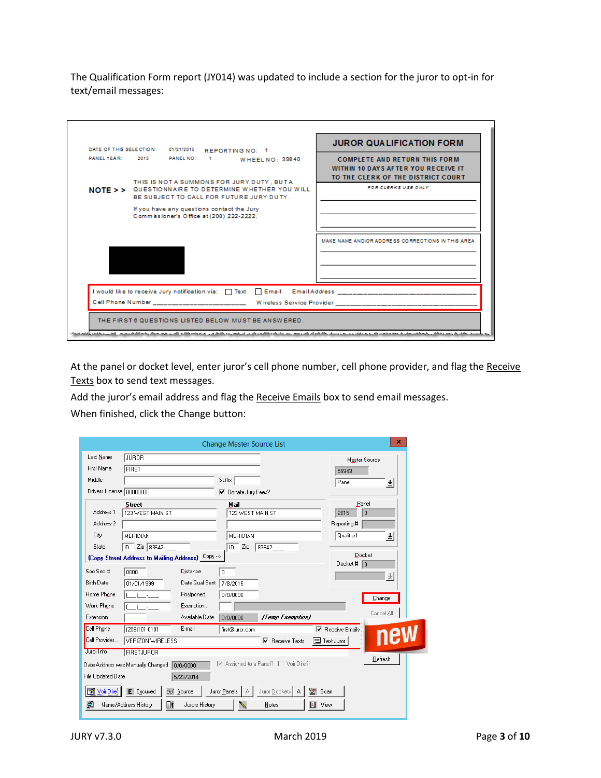The Qualification Form report (JY014) was updated to include a section for the juror to opt-in for text/email messages:



At the panel or docket level, enter juror's cell phone number, cell phone provider, and flag the Receive Texts box to send text messages.

Add the juror's email address and flag the Receive Emails box to send email messages.

When finished, click the Change button:

|                            |                                                  |                | <b>Change Master Source List</b> |                                                                                 |                         | ×             |
|----------------------------|--------------------------------------------------|----------------|----------------------------------|---------------------------------------------------------------------------------|-------------------------|---------------|
| Last Name                  | <b>JUROR</b>                                     |                |                                  |                                                                                 |                         | Master Source |
| <b>First Name</b>          | <b>FIRST</b>                                     |                |                                  |                                                                                 | 59943                   |               |
| Middle                     |                                                  |                | Suffix                           |                                                                                 | Panel                   | 회             |
| Drivers License   00000000 |                                                  |                | ⊽<br>Donate Jury Fees?           |                                                                                 |                         |               |
|                            | <b>Street</b>                                    |                | Mail                             |                                                                                 |                         | Panel         |
| Address 1                  | 123 WEST MAIN ST                                 |                | 123 WEST MAIN ST                 |                                                                                 | 2015                    | 3             |
| Address 2                  |                                                  |                |                                  |                                                                                 | Reporting #             | 1             |
| City                       | MERIDIAN                                         |                | MERIDIAN                         |                                                                                 | Qualified               | 회             |
| State                      | $\sqrt{2}$ ip 83642-<br>ID                       |                | Zip<br>ID                        | 83642-                                                                          |                         |               |
|                            | {Copy Street Address to Mailing Address} Copy -> |                |                                  |                                                                                 | Docket # $\boxed{0}$    | Docket        |
| Soc Sec #                  | 0000                                             | Distance       | $\overline{0}$                   |                                                                                 |                         |               |
| <b>Birth Date</b>          | 01/01/1999                                       | Date Qual Sent | 7/8/2015                         |                                                                                 |                         |               |
| Home Phone                 | $\sim$ $-$                                       | Postponed      | 0/0/0000                         |                                                                                 |                         | Change        |
| Work Phone                 |                                                  | Exemption      |                                  |                                                                                 |                         |               |
| Extension                  |                                                  | Available Date | 0/0/0000                         | (Temp Exemption)                                                                |                         | Cancel All    |
| Cell Phone                 | (208)101-0101                                    | E-mail         | first@juror.com                  |                                                                                 | $\nabla$ Receive Emails |               |
| Cell Provider              | VERIZON WIRELESS                                 |                |                                  | $\overline{\triangledown}$ Receive Texts                                        | 司 Text Juror            | new           |
| Juror Info                 | <b>FIRSTJUROR</b>                                |                |                                  |                                                                                 |                         |               |
|                            | Date Address was Manually Changed<br>0/0/0000    |                |                                  | $\overline{\triangledown}$ Assigned to a Panel? $\overline{\square}$ Voir Dire? |                         | Refresh       |
| File Updated Date          | 5/23/2014                                        |                |                                  |                                                                                 |                         |               |
| <b>NV</b> Voir Dire        | E Excused<br>66 <sup>'</sup> Source              |                | Juror Panels                     | Juror Dockets   A                                                               | Quat<br>Scan            |               |
| ø                          | §ł<br>Name/Address History                       | Jurors History |                                  | Notes                                                                           | Π۹<br>View              |               |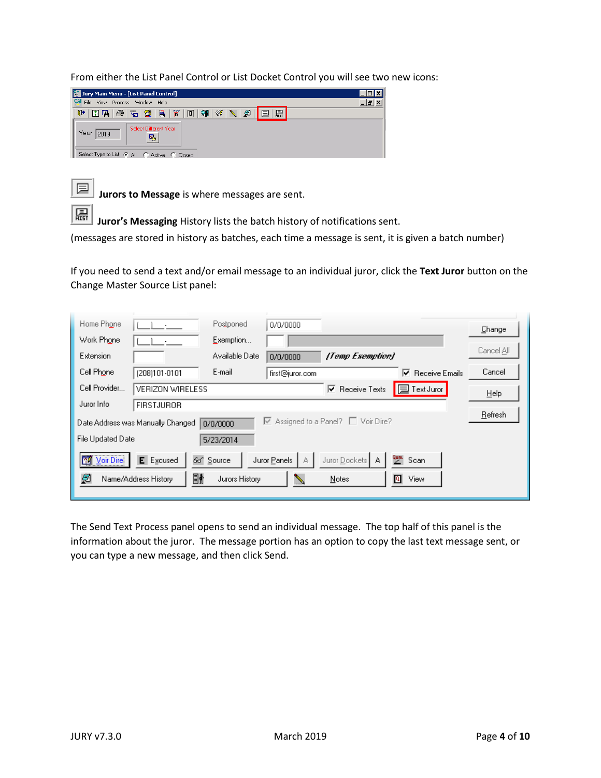From either the List Panel Control or List Docket Control you will see two new icons:

| Jury Main Menu - [List Panel Control]                                     |  |
|---------------------------------------------------------------------------|--|
| 54<br>File<br>Window Help<br>Process<br><b>View</b>                       |  |
| ø<br>Ħ<br>◈<br>圈<br>Q+<br>貰<br>回<br>図刷<br>6<br>扭<br>品<br>☎<br>扂           |  |
| Select Different Year<br>Year<br>2019<br>喝                                |  |
| Select Type to List $\left( \bullet \right)$ All<br>C Active<br>C. Closed |  |



**Jurors to Message** is where messages are sent.

鳯 **Juror's Messaging** History lists the batch history of notifications sent.

(messages are stored in history as batches, each time a message is sent, it is given a batch number)

If you need to send a text and/or email message to an individual juror, click the **Text Juror** button on the Change Master Source List panel:

| Home Phone                               | Postponed              | 0/0/0000                                                          |                     | Change     |
|------------------------------------------|------------------------|-------------------------------------------------------------------|---------------------|------------|
| Work Phone                               | Exemption              |                                                                   |                     |            |
| <b>Extension</b>                         | Available Date         | (Temp Exemption)<br>0/0/0000                                      |                     | Cancel All |
| Cell Phone<br>(208)101-0101              | E-mail                 | first@juror.com                                                   | Receive Emails<br>⊽ | Cancel     |
| Cell Provider<br><b>VERIZON WIRELESS</b> |                        | $\overline{\triangledown}$ Receive Texts                          | <b>□</b> Text Juror | Help       |
| Juror Info<br><b>FIRSTJUROR</b>          |                        |                                                                   |                     |            |
| Date Address was Manually Changed        | 0/0/0000               | $\overline{\triangledown}$ Assigned to a Panel? $\Box$ Voir Dire? |                     | Refresh    |
| File Updated Date                        | 5/23/2014              |                                                                   |                     |            |
| E Excused<br><b>NV</b> Voir Dire         | 66 <sup>*</sup> Source | Juror Dockets   A<br>Juror Panels<br>A                            | Quat<br>Scan        |            |
| ø<br>Name/Address History                | §<br>Jurors History    | Notes                                                             | षि<br>View          |            |

The Send Text Process panel opens to send an individual message. The top half of this panel is the information about the juror. The message portion has an option to copy the last text message sent, or you can type a new message, and then click Send.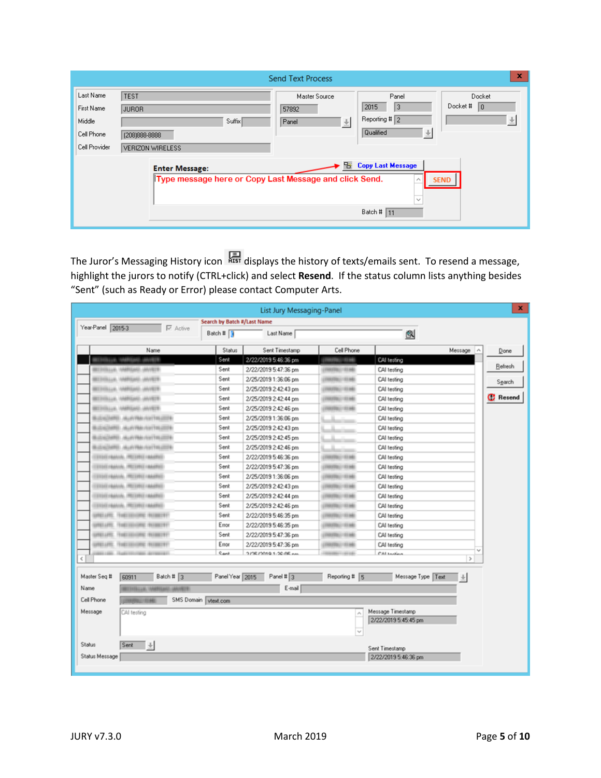| x<br><b>Send Text Process</b>                                    |                                                                                 |                                                                  |                                                                  |                                                     |  |  |  |
|------------------------------------------------------------------|---------------------------------------------------------------------------------|------------------------------------------------------------------|------------------------------------------------------------------|-----------------------------------------------------|--|--|--|
| Last Name<br>First Name<br>Middle<br>Cell Phone<br>Cell Provider | <b>TEST</b><br>JUROR<br>Suffix<br>(208) 888-8888<br><b>VERIZON WIRELESS</b>     | Master Source<br>57892<br>$\overset{\Downarrow}{\cong}$<br>Panel | Panel<br>13<br>2015<br>Reporting # $\sqrt{2}$<br>Qualified<br>÷. | Docket<br>Docket #<br>$\mathbf{0}$<br>$\frac{1}{2}$ |  |  |  |
|                                                                  | <b>Enter Message:</b><br>Type message here or Copy Last Message and click Send. | 먬                                                                | <b>Copy Last Message</b><br>$\checkmark$<br>Batch # $11$         | <b>SEND</b>                                         |  |  |  |

The Juror's Messaging History icon  $\overline{R}$  displays the history of texts/emails sent. To resend a message, highlight the jurors to notify (CTRL+click) and select **Resend**. If the status column lists anything besides "Sent" (such as Ready or Error) please contact Computer Arts.

| ×<br>List Jury Messaging-Panel                    |                             |                      |                             |                            |                 |  |
|---------------------------------------------------|-----------------------------|----------------------|-----------------------------|----------------------------|-----------------|--|
| Year-Panel 2015-3                                 | Search by Batch #/Last Name |                      |                             |                            |                 |  |
| $\nabla$ Active                                   | Batch #                     | Last Name            |                             | Q                          |                 |  |
| Name                                              | Status                      | Sent Timestamp       | Cell Phone                  | Message                    | ∣∧<br>Done      |  |
| U. ANVEST                                         | Sent                        | 2/22/2019 5:46:36 pm | <b>FRESTOLEN ROMAN</b>      | CAI testing                | Refresh         |  |
| BETHSLUE, IAMRIENE, JAVIETE                       | Sent                        | 2/22/2019 5:47:36 pm | (FREERL) 183.640            | CAI testing                |                 |  |
| <b>BETHINGAN</b><br><b>MARGARE, ANYIER</b>        | Sent                        | 2/25/2019 1:36:06 pm | (TRESTOL) 133.662           | CAI testing                | Search          |  |
| <b><i>MARGAG, ANTES</i></b><br><b>BETTHINGSH.</b> | Sent                        | 2/25/2019 2:42:43 pm | (1981) 7811-840             | CAI testing                |                 |  |
| ANNUARI, JAVIER<br><b>BETTHINGSK</b>              | Sent                        | 2/25/2019 2:42:44 pm | (TREFFERE) 153 846          | CAI testing                | <b>B</b> Resend |  |
| ANNIUNG, JAVIETE<br><b>BETTHINGAN</b>             | Sent                        | 2/25/2019 2:42:46 pm | (TRESTOL) 133.640           | CAI testing                |                 |  |
| BLOW2ARE.<br>ANAHVEMA / GAYTERLOOPS               | Sent                        | 2/25/2019 1:36:06 pm |                             | CAI testing                |                 |  |
| <b>BUSINESS AUSTRALISTERINE</b>                   | Sent                        | 2/25/2019 2:42:43 pm |                             | CAI testing                |                 |  |
| <b><i>ATTESTICA INVALIATES, EDIMENTALES</i></b>   | Sent                        | 2/25/2019 2:42:45 pm |                             | CAI testing                |                 |  |
| <b>BUSINESS AGENTALISM</b>                        | Sent                        | 2/25/2019 2:42:46 pm |                             | CAI testing                |                 |  |
| ESSECUALIAN, PROTEEN (AMERIC                      | Sent                        | 2/22/2019 5:46:36 pm | (THRITTIN) 1722 AB          | CAI testing                |                 |  |
| ESSAI (AAAAA), (RECENS) (AAARKE                   | Sent                        | 2/22/2019 5:47:36 pm | (THRITTIE) 151 AB           | CAI testing                |                 |  |
| ETSELHANA, PELIMILIAARKE                          | Sent                        | 2/25/2019 1:36:06 pm | (700/700/123.66)            | CAI testing                |                 |  |
| ESSECUARIAL PROTECTIVATION                        | Sent                        | 2/25/2019 2:42:43 pm | (TRESTRUCTORS               | CAI testing                |                 |  |
| ETHEFAMAN, PRETRICI (AMPRE)                       | Sent                        | 2/25/2019 2:42:44 pm | (700/700/1934)              | CAI testing                |                 |  |
| ESSECUARIAL PROTEEE (ARENT)                       | Sent                        | 2/25/2019 2:42:46 pm | CONSTRUCTION                | CAI testing                |                 |  |
| UNELLIMIC.<br>THE INVITE THINGS                   | Sent                        | 2/22/2019 5:46:35 pm | (TRESTOL) 15166             | CAI testing                |                 |  |
| LERES LIFES<br>THE HINRE NUMER                    | Error                       | 2/22/2019 5:46:35 pm | (1993) 781-940              | CAI testing                |                 |  |
| FEMELOUSNEL NATIONAL<br>LINES LIFEL               | Sent                        | 2/22/2019 5:47:36 pm | (700/09/11/18)              | CAI testing                |                 |  |
| FEMILIATENE MUSEUM<br>10981-1091                  | Error                       | 2/22/2019 5:47:36 pm | (1993) 78114                | CAI testing                |                 |  |
| ¢.                                                | Card                        | 37%72010.1-20.06 nm  | <b>HELL</b>                 | <b>CALIAMAN</b>            | $\rightarrow$   |  |
| Master Seg #                                      |                             |                      | Reporting # 5               |                            |                 |  |
| Batch # $3$<br>60911                              | Panel Year 2015             | Panel # 3            |                             | Message Type Text<br>$\pm$ |                 |  |
| Name<br><b>AAVEST</b>                             |                             | E-mail               |                             |                            |                 |  |
| Cell Phone                                        | SMS Domain vtext.com        |                      |                             |                            |                 |  |
| Message<br>CAI testing                            |                             |                      | ٨                           | Message Timestamp          |                 |  |
|                                                   |                             |                      |                             | 2/22/2019 5:45:45 pm       |                 |  |
|                                                   |                             |                      | $\mathcal{L}_{\mathcal{A}}$ |                            |                 |  |
|                                                   |                             |                      |                             |                            |                 |  |
| Status<br>Sent<br>$\pm$<br>Sent Timestamp         |                             |                      |                             |                            |                 |  |
| Status Message                                    |                             |                      |                             | 2/22/2019 5:46:36 pm       |                 |  |
|                                                   |                             |                      |                             |                            |                 |  |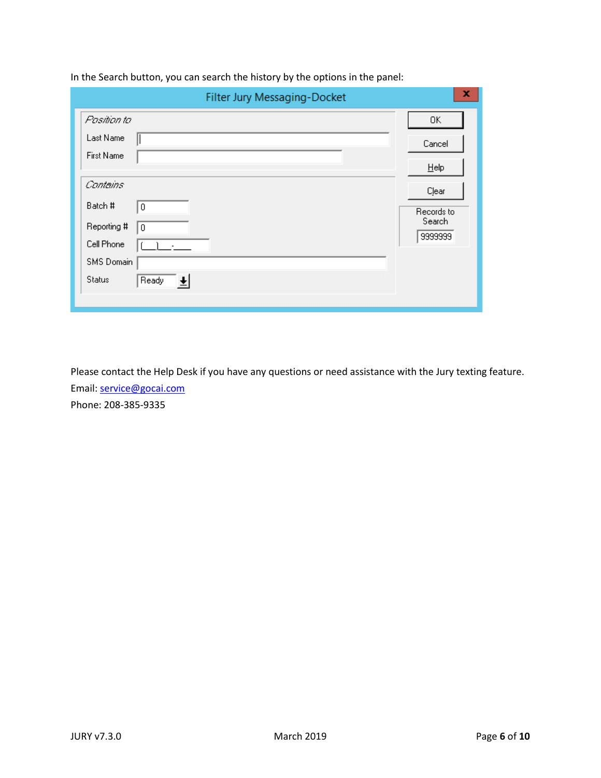| Filter Jury Messaging-Docket                                  | x                    |
|---------------------------------------------------------------|----------------------|
| Pasition to                                                   | 0K                   |
| Last Name                                                     | Cancel               |
| First Name                                                    | Help                 |
| Contains                                                      |                      |
| Batch #<br>0                                                  | Clear                |
| Reporting #<br>$\boldsymbol{0}$                               | Records to<br>Search |
| Cell Phone                                                    | 9999999              |
| SMS Domain                                                    |                      |
| <b>Status</b><br>Ready<br>$\vert \overline{\mathbf{t}} \vert$ |                      |
|                                                               |                      |

In the Search button, you can search the history by the options in the panel:

Please contact the Help Desk if you have any questions or need assistance with the Jury texting feature. Email: [service@gocai.com](mailto:service@gocai.com) Phone: 208-385-9335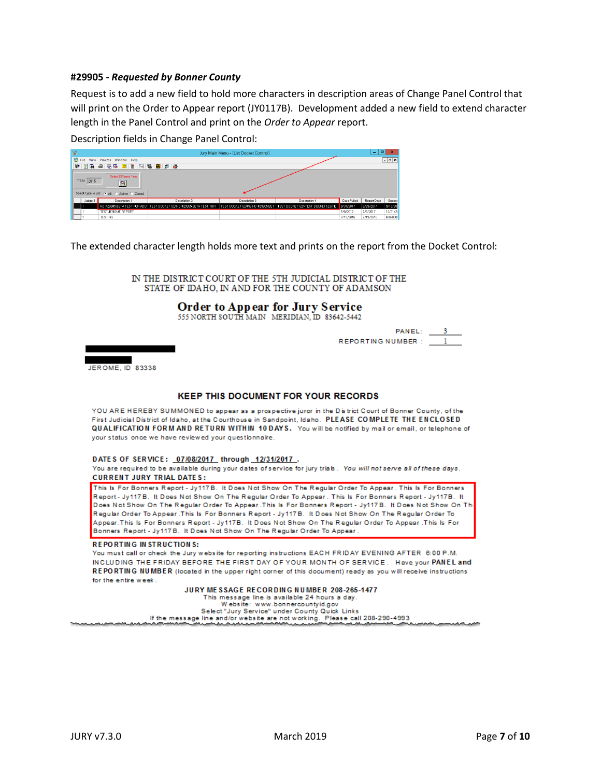#### **#29905 -** *Requested by Bonner County*

Request is to add a new field to hold more characters in description areas of Change Panel Control that will print on the Order to Appear report (JY0117B). Development added a new field to extend character length in the Panel Control and print on the *Order to Appear* report.

Description fields in Change Panel Control:

| <b>GAI</b> | Jury Main Menu - [List Docket Control]                                                        |                                                          |                                                                      |               |                                                                    |             | $\blacksquare$<br>۰ | ×                  |
|------------|-----------------------------------------------------------------------------------------------|----------------------------------------------------------|----------------------------------------------------------------------|---------------|--------------------------------------------------------------------|-------------|---------------------|--------------------|
|            | <b>架</b> File                                                                                 | View Process Window Help                                 |                                                                      |               |                                                                    |             |                     | $ \theta$ $\times$ |
|            |                                                                                               | [ 마 미 미 - 축   도 쿡   E   법   협   디   램   H   <i>설   옵</i> |                                                                      |               |                                                                    |             |                     |                    |
|            | Select Different Year<br>Year 2015<br>图<br>Select Type to List: (C) All (C) Active (C) Closed |                                                          |                                                                      |               |                                                                    |             |                     |                    |
|            | Judge #                                                                                       | Description 1                                            | Description 2                                                        | Description 3 | Description 4                                                      | Date Pulled | Report Date         | Expect             |
|            |                                                                                               |                                                          | HD #29905 BETA TEST FOR ADD   TEST DOCKET123 HD #29905 BETA TEST FOR |               | TEST DOCKET123456 HD #29905 BET   TEST DOCKET123VTEST DOCKET123/TE | 8/31/2017   | 8/29/2017           | 9/13/20            |
|            |                                                                                               | TEST JEROME REPORT                                       |                                                                      |               |                                                                    | 7/8/2017    | 7/8/2017            | 12/31/2            |
|            |                                                                                               | <b>TESTING</b>                                           |                                                                      |               |                                                                    | 7/19/2016   | 7/19/2016           | 0/0/000            |

The extended character length holds more text and prints on the report from the Docket Control:

IN THE DISTRICT COURT OF THE 5TH JUDICIAL DISTRICT OF THE STATE OF IDAHO, IN AND FOR THE COUNTY OF ADAMSON

#### **Order to Appear for Jury Service**

555 NORTH SOUTH MAIN MERIDIAN, ID 83642-5442

PANEL: REPORTING NUMBER:



#### **KEEP THIS DOCUMENT FOR YOUR RECORDS**

YOU ARE HEREBY SUMMONED to appear as a prospective juror in the District Court of Bonner County, of the First Judicial District of Idaho, at the Courthouse in Sandpoint, Idaho. PLEASE COMPLETE THE ENCLOSED QUALIFICATION FORM AND RETURN WITHIN 10 DAYS. You will be notified by mail or email, or telephone of your status once we have reviewed your questionnaire.

DATES OF SERVICE: 07/08/2017 through 12/31/2017.

You are required to be available during your dates of service for jury trials. You will not serve all of these days. **CURRENT JURY TRIAL DATES:** 

This Is For Bonners Report - Jy117B. It Does Not Show On The Regular Order To Appear. This Is For Bonners Report - Jy117B. It Does Not Show On The Regular Order To Appear. This Is For Bonners Report - Jy117B. It Does Not Show On The Regular Order To Appear .This Is For Bonners Report - Jy117B. It Does Not Show On Th Regular Order To Appear .This Is For Bonners Report - Jy117B. It Does Not Show On The Regular Order To Appear. This Is For Bonners Report - Jy117B. It Does Not Show On The Regular Order To Appear . This Is For Bonners Report - Jy117B. It Does Not Show On The Regular Order To Appear.

#### **REPORTING IN STRUCTIONS:**

You must call or check the Jury website for reporting instructions EACH FRIDAY EVENING AFTER 6:00 P.M. INCLUDING THE FRIDAY BEFORE THE FIRST DAY OF YOUR MONTH OF SERVICE. Have your PANEL and REPORTING NUMBER (located in the upper right corner of this document) ready as you will receive instructions for the entire week.

#### JURY MESSAGE RECORDING NUMBER 208-265-1477

This message line is available 24 hours a day.<br>Website: www.bonnercountyid.gov

Select "Jury Service" under County Quick Links

If the message line and/or website are not working. Please call 208-290-4993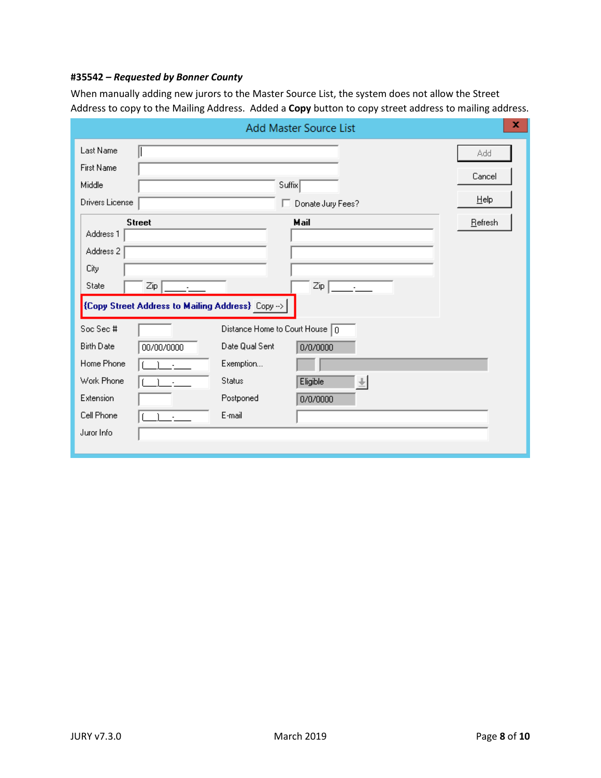## **#35542** *– Requested by Bonner County*

When manually adding new jurors to the Master Source List, the system does not allow the Street Address to copy to the Mailing Address. Added a **Copy** button to copy street address to mailing address.

|                                                         | Add Master Source List                            | x       |
|---------------------------------------------------------|---------------------------------------------------|---------|
| Last Name                                               |                                                   | Add     |
| <b>First Name</b>                                       |                                                   | Cancel  |
| Middle                                                  | Suffix                                            |         |
| Drivers License                                         | Donate Jury Fees?<br>п                            | Help    |
| <b>Street</b>                                           | Mail                                              | Refresh |
| Address 1                                               |                                                   |         |
| Address 2                                               |                                                   |         |
| City                                                    |                                                   |         |
| State<br>Zip                                            | Zip<br>٠                                          |         |
| <b>{Copy Street Address to Mailing Address}</b> Copy -> |                                                   |         |
| Soc Sec #                                               | Distance Home to Court House $\boxed{0}$          |         |
| <b>Birth Date</b><br>00/00/0000                         | Date Qual Sent<br>0/0/0000                        |         |
| Home Phone                                              | Exemption                                         |         |
| Work Phone                                              | <b>Status</b><br>Eligible<br>$\frac{1}{\sqrt{2}}$ |         |
| Extension                                               | Postponed<br>0/0/0000                             |         |
| Cell Phone                                              | E-mail                                            |         |
| Juror Info                                              |                                                   |         |
|                                                         |                                                   |         |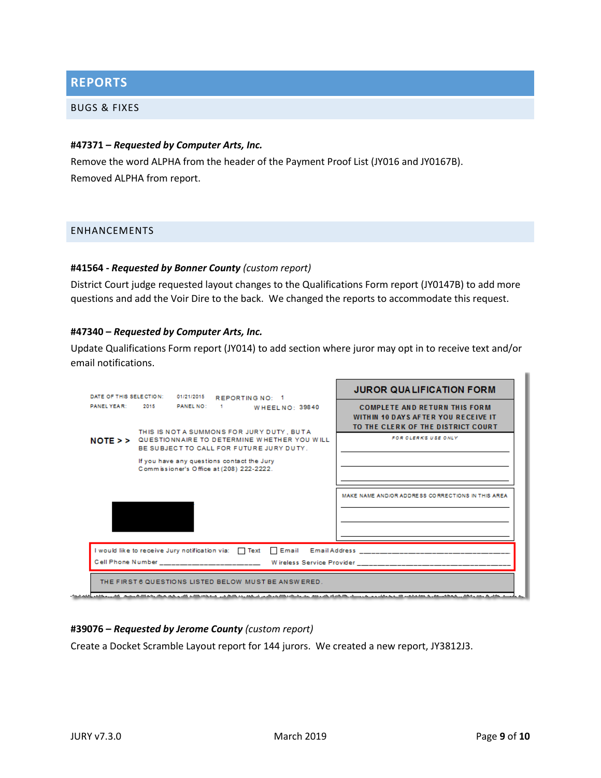## <span id="page-8-0"></span>**REPORTS**

#### <span id="page-8-1"></span>BUGS & FIXES

#### **#47371 –** *Requested by Computer Arts, Inc.*

Remove the word ALPHA from the header of the Payment Proof List (JY016 and JY0167B). Removed ALPHA from report.

#### <span id="page-8-2"></span>ENHANCEMENTS

#### **#41564 -** *Requested by Bonner County (custom report)*

District Court judge requested layout changes to the Qualifications Form report (JY0147B) to add more questions and add the Voir Dire to the back. We changed the reports to accommodate this request.

#### **#47340 –** *Requested by Computer Arts, Inc.*

Update Qualifications Form report (JY014) to add section where juror may opt in to receive text and/or email notifications.



#### **#39076 –** *Requested by Jerome County (custom report)*

Create a Docket Scramble Layout report for 144 jurors. We created a new report, JY3812J3.